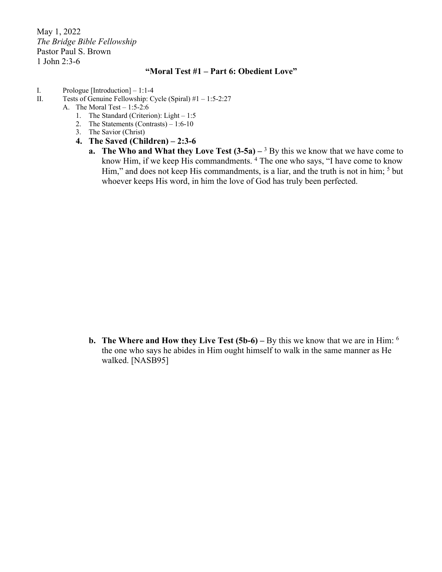May 1, 2022 *The Bridge Bible Fellowship* Pastor Paul S. Brown 1 John 2:3-6

## **"Moral Test #1 – Part 6: Obedient Love"**

- I. Prologue [Introduction] 1:1-4
- II. Tests of Genuine Fellowship: Cycle (Spiral) #1 1:5-2:27
	- A. The Moral Test 1:5-2:6
		- 1. The Standard (Criterion): Light 1:5
		- 2. The Statements (Contrasts) 1:6-10
		- 3. The Savior (Christ)
		- **4. The Saved (Children) – 2:3-6**
			- **a. The Who and What they Love Test**  $(3-5a) 3$  **By this we know that we have come to** know Him, if we keep His commandments. 4 The one who says, "I have come to know Him," and does not keep His commandments, is a liar, and the truth is not in him;  $5$  but whoever keeps His word, in him the love of God has truly been perfected.

**b.** The Where and How they Live Test (5b-6) – By this we know that we are in Him: <sup>6</sup> the one who says he abides in Him ought himself to walk in the same manner as He walked. [NASB95]